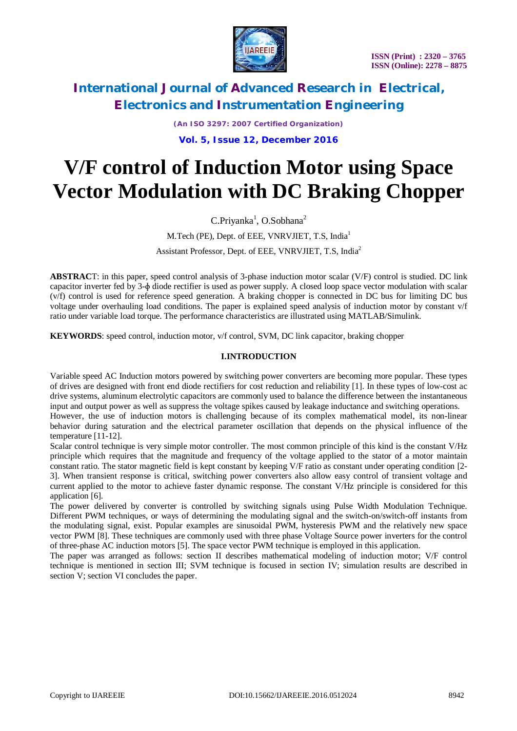

*(An ISO 3297: 2007 Certified Organization)* **Vol. 5, Issue 12, December 2016**

# **V/F control of Induction Motor using Space Vector Modulation with DC Braking Chopper**

 $C.Priyanka<sup>1</sup>, O.Sobhana<sup>2</sup>$ 

### M.Tech (PE), Dept. of EEE, VNRVJIET, T.S, India<sup>1</sup> Assistant Professor, Dept. of EEE, VNRVJIET, T.S, India<sup>2</sup>

**ABSTRAC**T: in this paper, speed control analysis of 3-phase induction motor scalar (V/F) control is studied. DC link capacitor inverter fed by 3-ɸ diode rectifier is used as power supply. A closed loop space vector modulation with scalar (v/f) control is used for reference speed generation. A braking chopper is connected in DC bus for limiting DC bus voltage under overhauling load conditions. The paper is explained speed analysis of induction motor by constant v/f ratio under variable load torque. The performance characteristics are illustrated using MATLAB/Simulink.

**KEYWORDS**: speed control, induction motor, v/f control, SVM, DC link capacitor, braking chopper

### **I.INTRODUCTION**

Variable speed AC Induction motors powered by switching power converters are becoming more popular. These types of drives are designed with front end diode rectifiers for cost reduction and reliability [1]. In these types of low-cost ac drive systems, aluminum electrolytic capacitors are commonly used to balance the difference between the instantaneous input and output power as well as suppress the voltage spikes caused by leakage inductance and switching operations.

However, the use of induction motors is challenging because of its complex mathematical model, its non-linear behavior during saturation and the electrical parameter oscillation that depends on the physical influence of the temperature [11-12].

Scalar control technique is very simple motor controller. The most common principle of this kind is the constant V/Hz principle which requires that the magnitude and frequency of the voltage applied to the stator of a motor maintain constant ratio. The stator magnetic field is kept constant by keeping V/F ratio as constant under operating condition [2- 3]. When transient response is critical, switching power converters also allow easy control of transient voltage and current applied to the motor to achieve faster dynamic response. The constant V/Hz principle is considered for this application [6].

The power delivered by converter is controlled by switching signals using Pulse Width Modulation Technique. Different PWM techniques, or ways of determining the modulating signal and the switch-on/switch-off instants from the modulating signal, exist. Popular examples are sinusoidal PWM, hysteresis PWM and the relatively new space vector PWM [8]. These techniques are commonly used with three phase Voltage Source power inverters for the control of three-phase AC induction motors [5]. The space vector PWM technique is employed in this application.

The paper was arranged as follows: section II describes mathematical modeling of induction motor; V/F control technique is mentioned in section III; SVM technique is focused in section IV; simulation results are described in section V; section VI concludes the paper.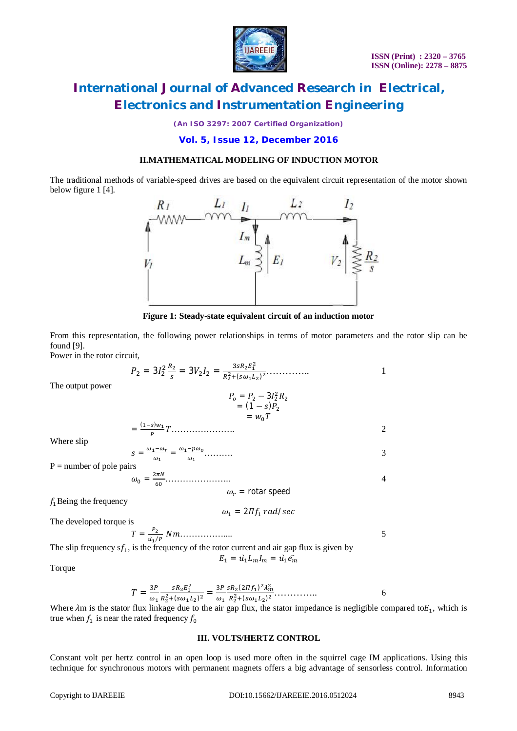

*(An ISO 3297: 2007 Certified Organization)*

### **Vol. 5, Issue 12, December 2016**

### **II.MATHEMATICAL MODELING OF INDUCTION MOTOR**

The traditional methods of variable-speed drives are based on the equivalent circuit representation of the motor shown below figure 1 [4].



**Figure 1: Steady-state equivalent circuit of an induction motor**

From this representation, the following power relationships in terms of motor parameters and the rotor slip can be found [9].

Power in the rotor circuit,

ܲ<sup>ଶ</sup> = 3ܫ<sup>ଶ</sup> ଶ ோ<sup>మ</sup> ௦ = 3ܸଶܫ<sup>ଶ</sup> = ଷ௦ோమா<sup>భ</sup> మ ோమ <sup>మ</sup>ା(௦ఠభమ) <sup>మ</sup>………….. 1

The output power

$$
P_o = P_2 - 3I_2^2 R_2
$$
  
= (1 - s)P<sub>2</sub>  
= w<sub>0</sub> T

 $\ldots$  2

Where slip

$$
S = \frac{\omega_1 - \omega_r}{\omega_1} = \frac{\omega_1 - p\omega_0}{\omega_1} \dots \dots \dots \dots \tag{3}
$$

 $P =$  number of pole pairs

=

 $(1-s)w_1$ P

߱ = ଶగே ………………….. 4 ߱ = rotar speed

 $f_1$  Being the frequency

$$
\omega_1 = 2\Pi f_1 \, rad/sec
$$

The developed torque is

$$
T = \frac{P_2}{u_1/P} Nm
$$
.................  
The slip frequency  $s f_1$ , is the frequency of the rotor current and air gap flux is given by

 $E_1 = \hat{u}_1 L_m I_m = \hat{u}_1 \hat{e}_m$ 

Torque

$$
T = \frac{3P}{\omega_1} \frac{sR_2 E_1^2}{R_2^2 + (s\omega_1 L_2)^2} = \frac{3P}{\omega_1} \frac{sR_2 (2If_1)^2 \lambda_m^2}{R_2^2 + (s\omega_1 L_2)^2} \dots \dots \dots \dots \dots \dots \dots \tag{6}
$$

Where  $\lambda$ m is the stator flux linkage due to the air gap flux, the stator impedance is negligible compared to $E_1$ , which is true when  $f_1$  is near the rated frequency  $f_0$ 

#### **III. VOLTS/HERTZ CONTROL**

Constant volt per hertz control in an open loop is used more often in the squirrel cage IM applications. Using this technique for synchronous motors with permanent magnets offers a big advantage of sensorless control. Information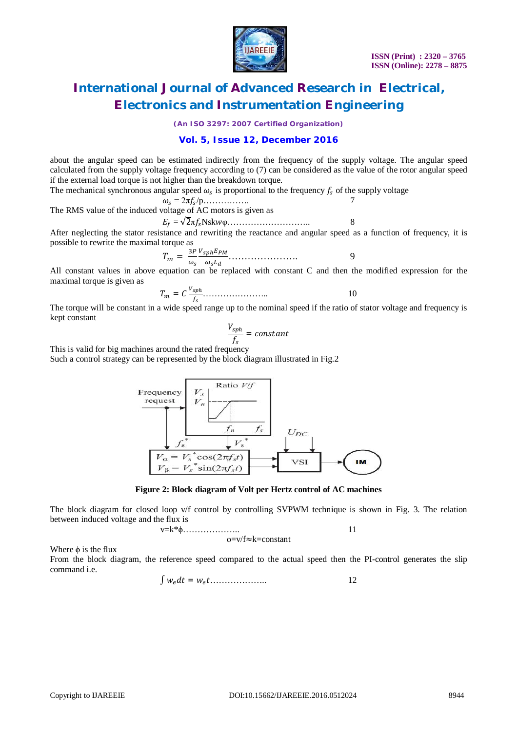

*(An ISO 3297: 2007 Certified Organization)*

### **Vol. 5, Issue 12, December 2016**

about the angular speed can be estimated indirectly from the frequency of the supply voltage. The angular speed calculated from the supply voltage frequency according to (7) can be considered as the value of the rotor angular speed if the external load torque is not higher than the breakdown torque.

The mechanical synchronous angular speed  $\omega_s$  is proportional to the frequency  $f_s$  of the supply voltage

$$
\omega_s = 2\pi f_s / p \dots
$$
\nThe RMS value of the induced voltage of AC motors is given as  
\n
$$
E_f = \sqrt{2\pi f_s} \text{Nskw}\varphi \dots
$$
\n
$$
8
$$

After neglecting the stator resistance and rewriting the reactance and angular speed as a function of frequency, it is possible to rewrite the maximal torque as

 $T_m = \frac{3P}{\omega}$  $\omega_s$  $V_{sph}E_{PM}$ ఠೞ …………………. 9

All constant values in above equation can be replaced with constant C and then the modified expression for the maximal torque is given as

ܥ = ܶ ೞ ೞ ………………….. 10

The torque will be constant in a wide speed range up to the nominal speed if the ratio of stator voltage and frequency is kept constant

$$
\frac{V_{sph}}{f_s} = constant
$$

This is valid for big machines around the rated frequency Such a control strategy can be represented by the block diagram illustrated in Fig.2



**Figure 2: Block diagram of Volt per Hertz control of AC machines**

The block diagram for closed loop v/f control by controlling SVPWM technique is shown in Fig. 3. The relation between induced voltage and the flux is

$$
v=k^*\phi
$$
.................  

$$
\phi=v/f\approx k=constant
$$
 11

Where  $\phi$  is the flux

From the block diagram, the reference speed compared to the actual speed then the PI-control generates the slip command i.e.

ݓ = ݐ݀ݓ ∫ 12 ....................ݐ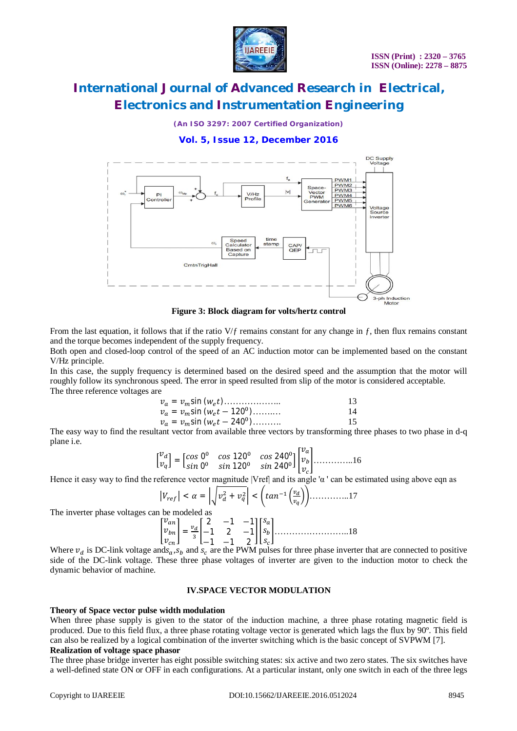

*(An ISO 3297: 2007 Certified Organization)*

### **Vol. 5, Issue 12, December 2016**



**Figure 3: Block diagram for volts/hertz control**

From the last equation, it follows that if the ratio  $V/f$  remains constant for any change in f, then flux remains constant and the torque becomes independent of the supply frequency.

Both open and closed-loop control of the speed of an AC induction motor can be implemented based on the constant V/Hz principle.

In this case, the supply frequency is determined based on the desired speed and the assumption that the motor will roughly follow its synchronous speed. The error in speed resulted from slip of the motor is considered acceptable. The three reference voltages are

| $v_a = v_m \sin(w_e t)$             | 13 |
|-------------------------------------|----|
| $v_a = v_m \sin(w_e t - 120^\circ)$ | 14 |
| $v_a = v_m \sin(w_e t - 240^\circ)$ | 15 |

The easy way to find the resultant vector from available three vectors by transforming three phases to two phase in d-q plane i.e.

$$
\begin{bmatrix} v_a \\ v_q \end{bmatrix} = \begin{bmatrix} \cos 0^0 & \cos 120^0 & \cos 240^0 \\ \sin 0^0 & \sin 120^0 & \sin 240^0 \end{bmatrix} \begin{bmatrix} v_a \\ v_b \\ v_c \end{bmatrix} \dots \dots \dots \dots \dots \dots 16
$$

Hence it easy way to find the reference vector magnitude |Vref| and its angle 'α ' can be estimated using above eqn as

$$
\left|V_{ref}\right| < \alpha = \left|\sqrt{v_d^2 + v_q^2}\right| < \left(\tan^{-1}\left(\frac{v_d}{v_q}\right)\right) \dots \dots \dots \dots 17
$$

The inverter phase voltages can be modeled as

 ݒ ݒ ݒ ൩ = ௩ ଷ 2 −1 −1 −1 2 −1 −1 −1 2 ൩ ݏ ݏ ݏ ൩……………………..18

Where  $v_d$  is DC-link voltage ands<sub>a</sub>,  $s_b$  and  $s_c$  are the PWM pulses for three phase inverter that are connected to positive side of the DC-link voltage. These three phase voltages of inverter are given to the induction motor to check the dynamic behavior of machine.

#### **IV.SPACE VECTOR MODULATION**

#### **Theory of Space vector pulse width modulation**

When three phase supply is given to the stator of the induction machine, a three phase rotating magnetic field is produced. Due to this field flux, a three phase rotating voltage vector is generated which lags the flux by 90º. This field can also be realized by a logical combination of the inverter switching which is the basic concept of SVPWM [7]. **Realization of voltage space phasor**

The three phase bridge inverter has eight possible switching states: six active and two zero states. The six switches have a well-defined state ON or OFF in each configurations. At a particular instant, only one switch in each of the three legs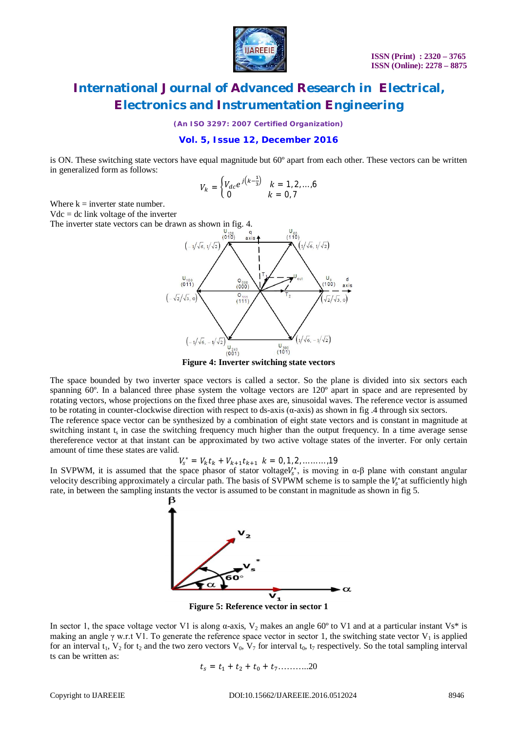

*(An ISO 3297: 2007 Certified Organization)*

#### **Vol. 5, Issue 12, December 2016**

is ON. These switching state vectors have equal magnitude but 60º apart from each other. These vectors can be written in generalized form as follows:

$$
V_k = \begin{cases} V_{dc} e^{j(k-\frac{1}{3})} & k = 1, 2, ..., 6 \\ 0 & k = 0, 7 \end{cases}
$$

Where  $k =$  inverter state number.

 $Vdc = dc$  link voltage of the inverter

The inverter state vectors can be drawn as shown in fig. 4.



**Figure 4: Inverter switching state vectors**

The space bounded by two inverter space vectors is called a sector. So the plane is divided into six sectors each spanning 60º. In a balanced three phase system the voltage vectors are 120º apart in space and are represented by rotating vectors, whose projections on the fixed three phase axes are, sinusoidal waves. The reference vector is assumed to be rotating in counter-clockwise direction with respect to ds-axis  $(\alpha$ -axis) as shown in fig. 4 through six sectors.

The reference space vector can be synthesized by a combination of eight state vectors and is constant in magnitude at switching instant  $t_s$  in case the switching frequency much higher than the output frequency. In a time average sense thereference vector at that instant can be approximated by two active voltage states of the inverter. For only certain amount of time these states are valid.

$$
V_s^* = V_k t_k + V_{k+1} t_{k+1} \ k = 0, 1, 2, \dots \dots, 19
$$

In SVPWM, it is assumed that the space phasor of stator voltage $V_s^*$ , is moving in  $\alpha$ - $\beta$  plane with constant angular velocity describing approximately a circular path. The basis of SVPWM scheme is to sample the  $V_s^*$  at sufficiently high rate, in between the sampling instants the vector is assumed to be constant in magnitude as shown in fig 5.



**Figure 5: Reference vector in sector 1**

In sector 1, the space voltage vector V1 is along  $\alpha$ -axis, V<sub>2</sub> makes an angle 60° to V1 and at a particular instant Vs<sup>\*</sup> is making an angle  $\gamma$  w.r.t V1. To generate the reference space vector in sector 1, the switching state vector V<sub>1</sub> is applied for an interval  $t_1$ ,  $V_2$  for  $t_2$  and the two zero vectors  $V_0$ ,  $V_7$  for interval  $t_0$ ,  $t_7$  respectively. So the total sampling interval ts can be written as:

$$
t_s = t_1 + t_2 + t_0 + t_7 \dots \dots \dots 20
$$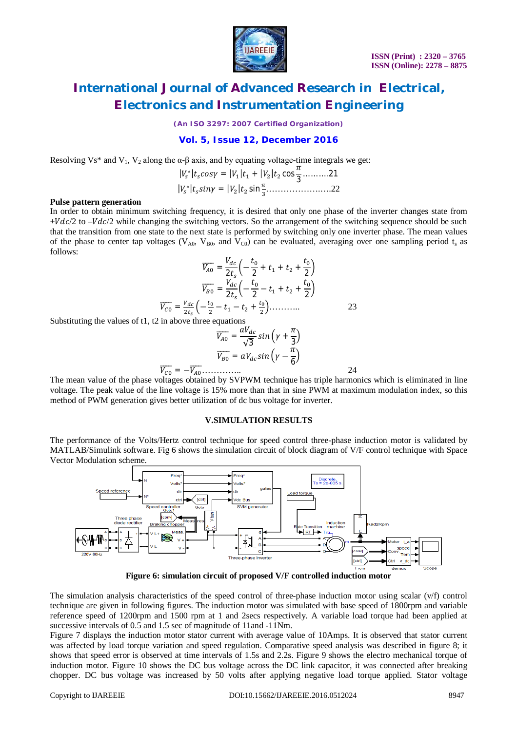

*(An ISO 3297: 2007 Certified Organization)*

### **Vol. 5, Issue 12, December 2016**

Resolving Vs\* and V<sub>1</sub>, V<sub>2</sub> along the  $\alpha$ -β axis, and by equating voltage-time integrals we get:

$$
|V_s^*|t_s cos \gamma = |V_1|t_1 + |V_2|t_2 cos \frac{\pi}{3} ....... .21
$$
  

$$
|V_s^*|t_s sin \gamma = |V_2|t_2 sin \frac{\pi}{3} ....... .22
$$

#### **Pulse pattern generation**

In order to obtain minimum switching frequency, it is desired that only one phase of the inverter changes state from  $+Vdc/2$  to  $-Vdc/2$  while changing the switching vectors. So the arrangement of the switching sequence should be such that the transition from one state to the next state is performed by switching only one inverter phase. The mean values of the phase to center tap voltages ( $V_{A0}$ ,  $V_{B0}$ , and  $V_{C0}$ ) can be evaluated, averaging over one sampling period ts as follows:

$$
\overline{V_{A0}} = \frac{V_{dc}}{2t_s} \left( -\frac{t_0}{2} + t_1 + t_2 + \frac{t_0}{2} \right)
$$

$$
\overline{V_{B0}} = \frac{V_{dc}}{2t_s} \left( -\frac{t_0}{2} - t_1 + t_2 + \frac{t_0}{2} \right)
$$

$$
\overline{V_{C0}} = \frac{V_{dc}}{2t_s} \left( -\frac{t_0}{2} - t_1 - t_2 + \frac{t_0}{2} \right) \dots \dots \dots \dots \tag{23}
$$

Substituting the values of t1, t2 in above three equations

ܸ തതതത = ܸܽௗ √3 + ߛቀ ݅݊ݏ ߨ 3 ቁ ܸ തതതത = ܸܽௗݏ݅݊ ቀߛ − ߨ 6 ቁ ܸ തതതത = −ܸ തതതത………….. 24

The mean value of the phase voltages obtained by SVPWM technique has triple harmonics which is eliminated in line voltage. The peak value of the line voltage is 15% more than that in sine PWM at maximum modulation index, so this method of PWM generation gives better utilization of dc bus voltage for inverter.

### **V.SIMULATION RESULTS**

The performance of the Volts/Hertz control technique for speed control three-phase induction motor is validated by MATLAB/Simulink software. Fig 6 shows the simulation circuit of block diagram of V/F control technique with Space Vector Modulation scheme.



**Figure 6: simulation circuit of proposed V/F controlled induction motor**

The simulation analysis characteristics of the speed control of three-phase induction motor using scalar (v/f) control technique are given in following figures. The induction motor was simulated with base speed of 1800rpm and variable reference speed of 1200rpm and 1500 rpm at 1 and 2secs respectively. A variable load torque had been applied at successive intervals of 0.5 and 1.5 sec of magnitude of 11and -11Nm.

Figure 7 displays the induction motor stator current with average value of 10Amps. It is observed that stator current was affected by load torque variation and speed regulation. Comparative speed analysis was described in figure 8; it shows that speed error is observed at time intervals of 1.5s and 2.2s. Figure 9 shows the electro mechanical torque of induction motor. Figure 10 shows the DC bus voltage across the DC link capacitor, it was connected after breaking chopper. DC bus voltage was increased by 50 volts after applying negative load torque applied. Stator voltage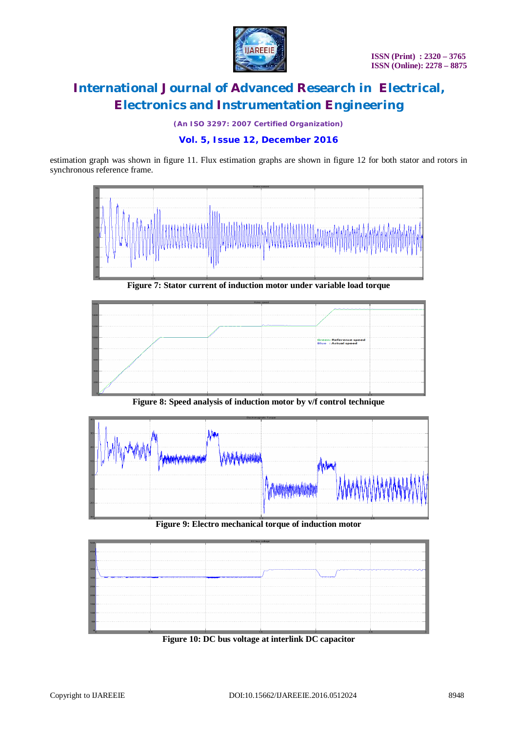

*(An ISO 3297: 2007 Certified Organization)*

### **Vol. 5, Issue 12, December 2016**

estimation graph was shown in figure 11. Flux estimation graphs are shown in figure 12 for both stator and rotors in synchronous reference frame.



**Figure 7: Stator current of induction motor under variable load torque**



**Figure 8: Speed analysis of induction motor by v/f control technique**



**Figure 9: Electro mechanical torque of induction motor**



**Figure 10: DC bus voltage at interlink DC capacitor**